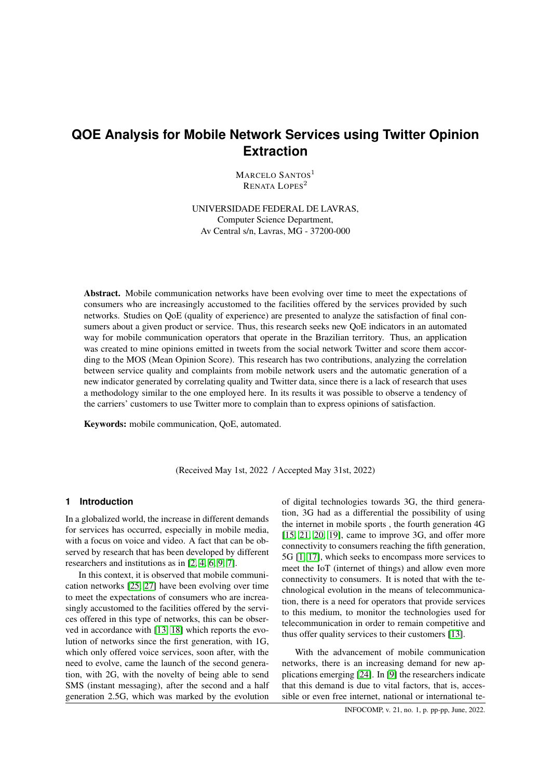# **QOE Analysis for Mobile Network Services using Twitter Opinion Extraction**

MARCELO SANTOS<sup>1</sup> RENATA LOPES<sup>2</sup>

UNIVERSIDADE FEDERAL DE LAVRAS, Computer Science Department, Av Central s/n, Lavras, MG - 37200-000

Abstract. Mobile communication networks have been evolving over time to meet the expectations of consumers who are increasingly accustomed to the facilities offered by the services provided by such networks. Studies on QoE (quality of experience) are presented to analyze the satisfaction of final consumers about a given product or service. Thus, this research seeks new QoE indicators in an automated way for mobile communication operators that operate in the Brazilian territory. Thus, an application was created to mine opinions emitted in tweets from the social network Twitter and score them according to the MOS (Mean Opinion Score). This research has two contributions, analyzing the correlation between service quality and complaints from mobile network users and the automatic generation of a new indicator generated by correlating quality and Twitter data, since there is a lack of research that uses a methodology similar to the one employed here. In its results it was possible to observe a tendency of the carriers' customers to use Twitter more to complain than to express opinions of satisfaction.

Keywords: mobile communication, QoE, automated.

(Received May 1st, 2022 / Accepted May 31st, 2022)

## **1 Introduction**

In a globalized world, the increase in different demands for services has occurred, especially in mobile media, with a focus on voice and video. A fact that can be observed by research that has been developed by different researchers and institutions as in [\[2,](#page-7-0) [4,](#page-7-1) [6,](#page-7-2) [9,](#page-7-3) [7\]](#page-7-4).

In this context, it is observed that mobile communication networks [\[25,](#page-8-0) [27\]](#page-8-1) have been evolving over time to meet the expectations of consumers who are increasingly accustomed to the facilities offered by the services offered in this type of networks, this can be observed in accordance with [\[13,](#page-8-2) [18\]](#page-8-3) which reports the evolution of networks since the first generation, with 1G, which only offered voice services, soon after, with the need to evolve, came the launch of the second generation, with 2G, with the novelty of being able to send SMS (instant messaging), after the second and a half generation 2.5G, which was marked by the evolution

of digital technologies towards 3G, the third generation, 3G had as a differential the possibility of using the internet in mobile sports , the fourth generation 4G [\[15,](#page-8-4) [21,](#page-8-5) [20,](#page-8-6) [19\]](#page-8-7), came to improve 3G, and offer more connectivity to consumers reaching the fifth generation, 5G [\[1,](#page-7-5) [17\]](#page-8-8), which seeks to encompass more services to meet the IoT (internet of things) and allow even more connectivity to consumers. It is noted that with the technological evolution in the means of telecommunication, there is a need for operators that provide services to this medium, to monitor the technologies used for telecommunication in order to remain competitive and thus offer quality services to their customers [\[13\]](#page-8-2).

With the advancement of mobile communication networks, there is an increasing demand for new applications emerging [\[24\]](#page-8-9). In [\[9\]](#page-7-3) the researchers indicate that this demand is due to vital factors, that is, accessible or even free internet, national or international te-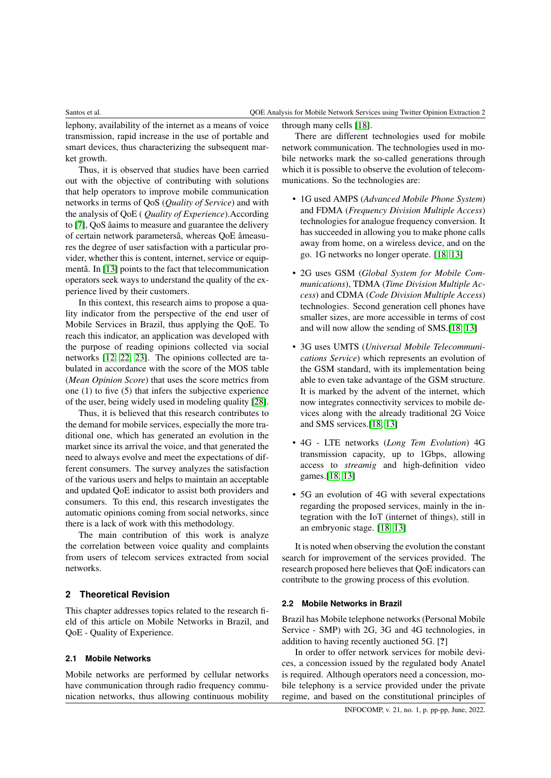lephony, availability of the internet as a means of voice transmission, rapid increase in the use of portable and smart devices, thus characterizing the subsequent market growth.

Thus, it is observed that studies have been carried out with the objective of contributing with solutions that help operators to improve mobile communication networks in terms of QoS (*Quality of Service*) and with the analysis of QoE ( *Quality of Experience*).According to [\[7\]](#page-7-4), QoS âaims to measure and guarantee the delivery of certain network parametersâ, whereas QoE âmeasures the degree of user satisfaction with a particular provider, whether this is content, internet, service or equipmentâ. In [\[13\]](#page-8-2) points to the fact that telecommunication operators seek ways to understand the quality of the experience lived by their customers.

In this context, this research aims to propose a quality indicator from the perspective of the end user of Mobile Services in Brazil, thus applying the QoE. To reach this indicator, an application was developed with the purpose of reading opinions collected via social networks [\[12,](#page-7-6) [22,](#page-8-10) [23\]](#page-8-11). The opinions collected are tabulated in accordance with the score of the MOS table (*Mean Opinion Score*) that uses the score metrics from one (1) to five (5) that infers the subjective experience of the user, being widely used in modeling quality [\[28\]](#page-8-12).

Thus, it is believed that this research contributes to the demand for mobile services, especially the more traditional one, which has generated an evolution in the market since its arrival the voice, and that generated the need to always evolve and meet the expectations of different consumers. The survey analyzes the satisfaction of the various users and helps to maintain an acceptable and updated QoE indicator to assist both providers and consumers. To this end, this research investigates the automatic opinions coming from social networks, since there is a lack of work with this methodology.

The main contribution of this work is analyze the correlation between voice quality and complaints from users of telecom services extracted from social networks.

## **2 Theoretical Revision**

This chapter addresses topics related to the research field of this article on Mobile Networks in Brazil, and QoE - Quality of Experience.

## **2.1 Mobile Networks**

Mobile networks are performed by cellular networks have communication through radio frequency communication networks, thus allowing continuous mobility

through many cells [\[18\]](#page-8-3).

There are different technologies used for mobile network communication. The technologies used in mobile networks mark the so-called generations through which it is possible to observe the evolution of telecommunications. So the technologies are:

- 1G used AMPS (*Advanced Mobile Phone System*) and FDMA (*Frequency Division Multiple Access*) technologies for analogue frequency conversion. It has succeeded in allowing you to make phone calls away from home, on a wireless device, and on the go. 1G networks no longer operate. [\[18,](#page-8-3) [13\]](#page-8-2)
- 2G uses GSM (*Global System for Mobile Communications*), TDMA (*Time Division Multiple Access*) and CDMA (*Code Division Multiple Access*) technologies. Second generation cell phones have smaller sizes, are more accessible in terms of cost and will now allow the sending of SMS.[\[18,](#page-8-3) [13\]](#page-8-2)
- 3G uses UMTS (*Universal Mobile Telecommunications Service*) which represents an evolution of the GSM standard, with its implementation being able to even take advantage of the GSM structure. It is marked by the advent of the internet, which now integrates connectivity services to mobile devices along with the already traditional 2G Voice and SMS services.[\[18,](#page-8-3) [13\]](#page-8-2)
- 4G LTE networks (*Long Tem Evolution*) 4G transmission capacity, up to 1Gbps, allowing access to *streamig* and high-definition video games.[\[18,](#page-8-3) [13\]](#page-8-2)
- 5G an evolution of 4G with several expectations regarding the proposed services, mainly in the integration with the IoT (internet of things), still in an embryonic stage. [\[18,](#page-8-3) [13\]](#page-8-2)

It is noted when observing the evolution the constant search for improvement of the services provided. The research proposed here believes that QoE indicators can contribute to the growing process of this evolution.

### **2.2 Mobile Networks in Brazil**

Brazil has Mobile telephone networks (Personal Mobile Service - SMP) with 2G, 3G and 4G technologies, in addition to having recently auctioned 5G. [?]

In order to offer network services for mobile devices, a concession issued by the regulated body Anatel is required. Although operators need a concession, mobile telephony is a service provided under the private regime, and based on the constitutional principles of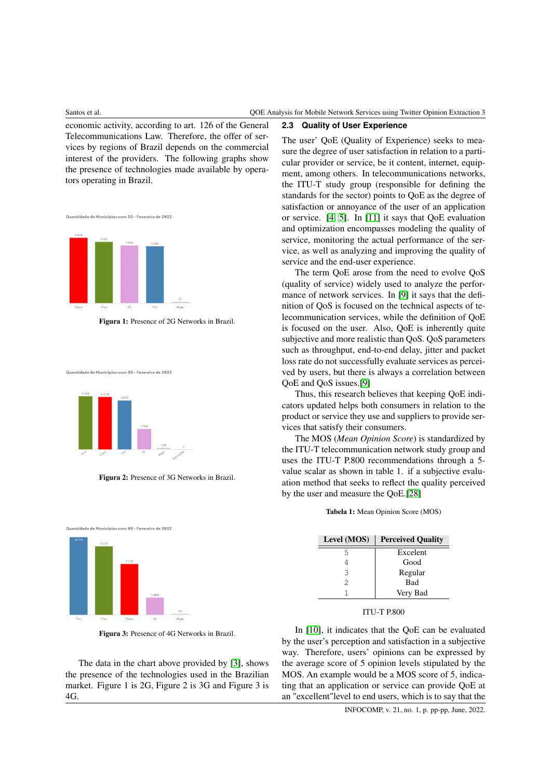economic activity, according to art. 126 of the General Telecommunications Law. Therefore, the offer of services by regions of Brazil depends on the commercial interest of the providers. The following graphs show the presence of technologies made available by operators operating in Brazil.

Quantidade de Municípios com 2G - Fevereiro de 2022



Figura 1: Presence of 2G Networks in Brazil.

Quantidade de Municípios com 3G - Fevereiro de 2022



Figura 2: Presence of 3G Networks in Brazil.



Figura 3: Presence of 4G Networks in Brazil.

The data in the chart above provided by [\[3\]](#page-7-7), shows the presence of the technologies used in the Brazilian market. Figure 1 is 2G, Figure 2 is 3G and Figure 3 is 4G.

## **2.3 Quality of User Experience**

The user' QoE (Quality of Experience) seeks to measure the degree of user satisfaction in relation to a particular provider or service, be it content, internet, equipment, among others. In telecommunications networks, the ITU-T study group (responsible for defining the standards for the sector) points to QoE as the degree of satisfaction or annoyance of the user of an application or service. [\[4,](#page-7-1) [5\]](#page-7-8). In [\[11\]](#page-7-9) it says that QoE evaluation and optimization encompasses modeling the quality of service, monitoring the actual performance of the service, as well as analyzing and improving the quality of service and the end-user experience.

The term QoE arose from the need to evolve QoS (quality of service) widely used to analyze the performance of network services. In [\[9\]](#page-7-3) it says that the definition of QoS is focused on the technical aspects of telecommunication services, while the definition of QoE is focused on the user. Also, QoE is inherently quite subjective and more realistic than QoS. QoS parameters such as throughput, end-to-end delay, jitter and packet loss rate do not successfully evaluate services as perceived by users, but there is always a correlation between QoE and QoS issues.[\[9\]](#page-7-3)

Thus, this research believes that keeping QoE indicators updated helps both consumers in relation to the product or service they use and suppliers to provide services that satisfy their consumers.

The MOS (*Mean Opinion Score*) is standardized by the ITU-T telecommunication network study group and uses the ITU-T P.800 recommendations through a 5 value scalar as shown in table 1. if a subjective evaluation method that seeks to reflect the quality perceived by the user and measure the QoE.[\[28\]](#page-8-12)

Tabela 1: Mean Opinion Score (MOS)

| Level (MOS) | <b>Perceived Quality</b> |
|-------------|--------------------------|
| 5           | Excelent                 |
|             | Good                     |
| 3           | Regular                  |
| 2           | <b>Bad</b>               |
|             | Very Bad                 |

### ITU-T P.800

In [\[10\]](#page-7-10), it indicates that the QoE can be evaluated by the user's perception and satisfaction in a subjective way. Therefore, users' opinions can be expressed by the average score of 5 opinion levels stipulated by the MOS. An example would be a MOS score of 5, indicating that an application or service can provide QoE at an "excellent"level to end users, which is to say that the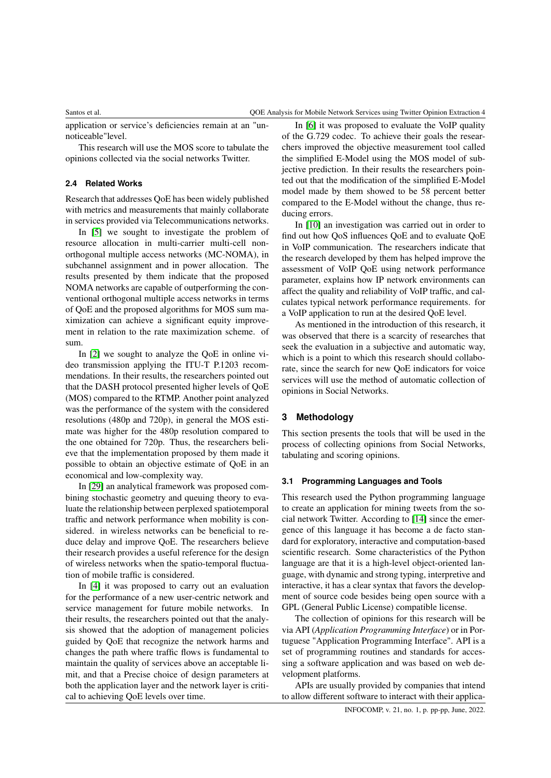application or service's deficiencies remain at an "unnoticeable"level.

This research will use the MOS score to tabulate the opinions collected via the social networks Twitter.

## **2.4 Related Works**

Research that addresses QoE has been widely published with metrics and measurements that mainly collaborate in services provided via Telecommunications networks.

In [\[5\]](#page-7-8) we sought to investigate the problem of resource allocation in multi-carrier multi-cell nonorthogonal multiple access networks (MC-NOMA), in subchannel assignment and in power allocation. The results presented by them indicate that the proposed NOMA networks are capable of outperforming the conventional orthogonal multiple access networks in terms of QoE and the proposed algorithms for MOS sum maximization can achieve a significant equity improvement in relation to the rate maximization scheme. of sum.

In [\[2\]](#page-7-0) we sought to analyze the QoE in online video transmission applying the ITU-T P.1203 recommendations. In their results, the researchers pointed out that the DASH protocol presented higher levels of QoE (MOS) compared to the RTMP. Another point analyzed was the performance of the system with the considered resolutions (480p and 720p), in general the MOS estimate was higher for the 480p resolution compared to the one obtained for 720p. Thus, the researchers believe that the implementation proposed by them made it possible to obtain an objective estimate of QoE in an economical and low-complexity way.

In [\[29\]](#page-8-13) an analytical framework was proposed combining stochastic geometry and queuing theory to evaluate the relationship between perplexed spatiotemporal traffic and network performance when mobility is considered. in wireless networks can be beneficial to reduce delay and improve QoE. The researchers believe their research provides a useful reference for the design of wireless networks when the spatio-temporal fluctuation of mobile traffic is considered.

In [\[4\]](#page-7-1) it was proposed to carry out an evaluation for the performance of a new user-centric network and service management for future mobile networks. In their results, the researchers pointed out that the analysis showed that the adoption of management policies guided by QoE that recognize the network harms and changes the path where traffic flows is fundamental to maintain the quality of services above an acceptable limit, and that a Precise choice of design parameters at both the application layer and the network layer is critical to achieving QoE levels over time.

In [\[6\]](#page-7-2) it was proposed to evaluate the VoIP quality of the G.729 codec. To achieve their goals the researchers improved the objective measurement tool called the simplified E-Model using the MOS model of subjective prediction. In their results the researchers pointed out that the modification of the simplified E-Model model made by them showed to be 58 percent better compared to the E-Model without the change, thus reducing errors.

In [\[10\]](#page-7-10) an investigation was carried out in order to find out how QoS influences QoE and to evaluate QoE in VoIP communication. The researchers indicate that the research developed by them has helped improve the assessment of VoIP QoE using network performance parameter, explains how IP network environments can affect the quality and reliability of VoIP traffic, and calculates typical network performance requirements. for a VoIP application to run at the desired QoE level.

As mentioned in the introduction of this research, it was observed that there is a scarcity of researches that seek the evaluation in a subjective and automatic way, which is a point to which this research should collaborate, since the search for new QoE indicators for voice services will use the method of automatic collection of opinions in Social Networks.

## **3 Methodology**

This section presents the tools that will be used in the process of collecting opinions from Social Networks, tabulating and scoring opinions.

### **3.1 Programming Languages and Tools**

This research used the Python programming language to create an application for mining tweets from the social network Twitter. According to [\[14\]](#page-8-14) since the emergence of this language it has become a de facto standard for exploratory, interactive and computation-based scientific research. Some characteristics of the Python language are that it is a high-level object-oriented language, with dynamic and strong typing, interpretive and interactive, it has a clear syntax that favors the development of source code besides being open source with a GPL (General Public License) compatible license.

The collection of opinions for this research will be via API (*Application Programming Interface*) or in Portuguese "Application Programming Interface". API is a set of programming routines and standards for accessing a software application and was based on web development platforms.

APIs are usually provided by companies that intend to allow different software to interact with their applica-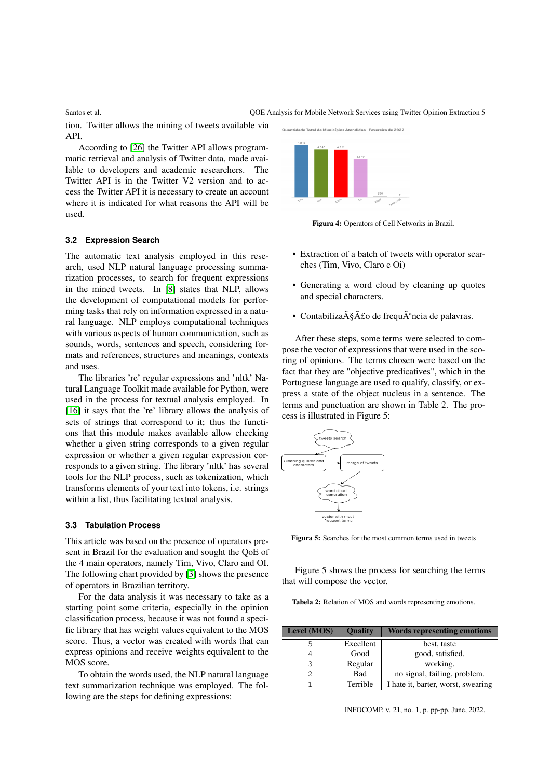### Santos et al. QOE Analysis for Mobile Network Services using Twitter Opinion Extraction 5

tion. Twitter allows the mining of tweets available via API.

According to [\[26\]](#page-8-15) the Twitter API allows programmatic retrieval and analysis of Twitter data, made available to developers and academic researchers. The Twitter API is in the Twitter V2 version and to access the Twitter API it is necessary to create an account where it is indicated for what reasons the API will be used.



.<br>tidade Total de Municípios Atendidos - Fevereiro de 2022

Figura 4: Operators of Cell Networks in Brazil.

## **3.2 Expression Search**

The automatic text analysis employed in this research, used NLP natural language processing summarization processes, to search for frequent expressions in the mined tweets. In [\[8\]](#page-7-11) states that NLP, allows the development of computational models for performing tasks that rely on information expressed in a natural language. NLP employs computational techniques with various aspects of human communication, such as sounds, words, sentences and speech, considering formats and references, structures and meanings, contexts and uses.

The libraries 're' regular expressions and 'nltk' Natural Language Toolkit made available for Python, were used in the process for textual analysis employed. In [\[16\]](#page-8-16) it says that the 're' library allows the analysis of sets of strings that correspond to it; thus the functions that this module makes available allow checking whether a given string corresponds to a given regular expression or whether a given regular expression corresponds to a given string. The library 'nltk' has several tools for the NLP process, such as tokenization, which transforms elements of your text into tokens, i.e. strings within a list, thus facilitating textual analysis.

### **3.3 Tabulation Process**

This article was based on the presence of operators present in Brazil for the evaluation and sought the QoE of the 4 main operators, namely Tim, Vivo, Claro and OI. The following chart provided by [\[3\]](#page-7-7) shows the presence of operators in Brazilian territory.

For the data analysis it was necessary to take as a starting point some criteria, especially in the opinion classification process, because it was not found a specific library that has weight values equivalent to the MOS score. Thus, a vector was created with words that can express opinions and receive weights equivalent to the MOS score.

To obtain the words used, the NLP natural language text summarization technique was employed. The following are the steps for defining expressions:

- Extraction of a batch of tweets with operator sear-
- ches (Tim, Vivo, Claro e Oi)
- Generating a word cloud by cleaning up quotes and special characters.
- Contabiliza $\tilde{A} \tilde{S} \tilde{A}$ £o de frequ $\tilde{A}^a$ ncia de palavras.

After these steps, some terms were selected to compose the vector of expressions that were used in the scoring of opinions. The terms chosen were based on the fact that they are "objective predicatives", which in the Portuguese language are used to qualify, classify, or express a state of the object nucleus in a sentence. The terms and punctuation are shown in Table 2. The process is illustrated in Figure 5:



 $\overline{\phantom{a}}$ 

Figura 5: Searches for the most common terms used in tweets

Figure 5 shows the process for searching the terms that will compose the vector.

Tabela 2: Relation of MOS and words representing emotions.

| <b>Level (MOS)</b> | <b>Ouality</b> | Words representing emotions        |
|--------------------|----------------|------------------------------------|
| 5                  | Excellent      | best, taste                        |
| 4                  | Good           | good, satisfied.                   |
| 3                  | Regular        | working.                           |
| $\mathcal{D}$      | Bad            | no signal, failing, problem.       |
|                    | Terrible       | I hate it, barter, worst, swearing |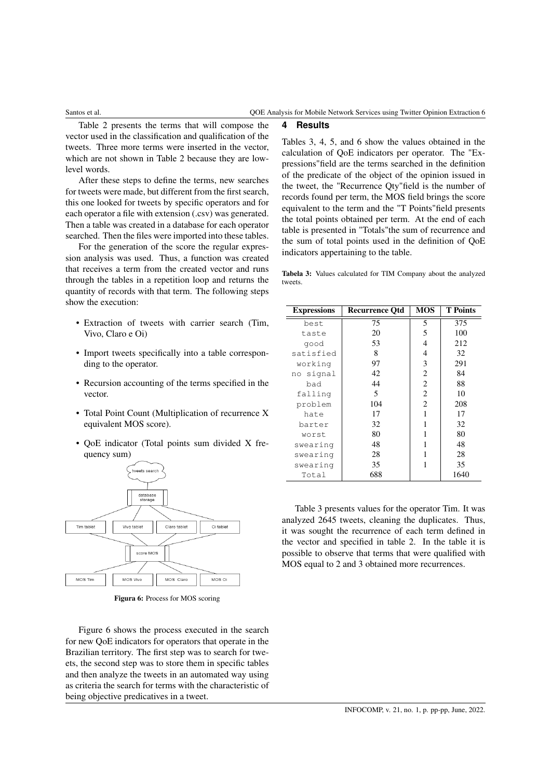Table 2 presents the terms that will compose the vector used in the classification and qualification of the tweets. Three more terms were inserted in the vector, which are not shown in Table 2 because they are lowlevel words.

After these steps to define the terms, new searches for tweets were made, but different from the first search, this one looked for tweets by specific operators and for each operator a file with extension (.csv) was generated. Then a table was created in a database for each operator searched. Then the files were imported into these tables.

For the generation of the score the regular expression analysis was used. Thus, a function was created that receives a term from the created vector and runs through the tables in a repetition loop and returns the quantity of records with that term. The following steps show the execution:

- Extraction of tweets with carrier search (Tim, Vivo, Claro e Oi)
- Import tweets specifically into a table corresponding to the operator.
- Recursion accounting of the terms specified in the vector.
- Total Point Count (Multiplication of recurrence X equivalent MOS score).
- QoE indicator (Total points sum divided X frequency sum)



Figura 6: Process for MOS scoring

Figure 6 shows the process executed in the search for new QoE indicators for operators that operate in the Brazilian territory. The first step was to search for tweets, the second step was to store them in specific tables and then analyze the tweets in an automated way using as criteria the search for terms with the characteristic of being objective predicatives in a tweet.

## **4 Results**

Tables 3, 4, 5, and 6 show the values obtained in the calculation of QoE indicators per operator. The "Expressions"field are the terms searched in the definition of the predicate of the object of the opinion issued in the tweet, the "Recurrence Qty"field is the number of records found per term, the MOS field brings the score equivalent to the term and the "T Points"field presents the total points obtained per term. At the end of each table is presented in "Totals"the sum of recurrence and the sum of total points used in the definition of QoE indicators appertaining to the table.

Tabela 3: Values calculated for TIM Company about the analyzed tweets.

| <b>Expressions</b> | <b>Recurrence Otd</b> | <b>MOS</b> | <b>T</b> Points |
|--------------------|-----------------------|------------|-----------------|
| best               | 75                    | 5          | 375             |
| taste              | 20                    | 5          | 100             |
| qood               | 53                    | 4          | 212             |
| satisfied          | 8                     | 4          | 32              |
| working            | 97                    | 3          | 291             |
| no signal          | 42                    | 2          | 84              |
| bad                | 44                    | 2          | 88              |
| falling            | 5                     | 2          | 10              |
| problem            | 104                   | 2          | 208             |
| hate               | 17                    |            | 17              |
| barter             | 32                    |            | 32              |
| worst              | 80                    |            | 80              |
| swearing           | 48                    |            | 48              |
| swearing           | 28                    |            | 28              |
| swearing           | 35                    | 1          | 35              |
| Total              | 688                   |            | 1640            |

Table 3 presents values for the operator Tim. It was analyzed 2645 tweets, cleaning the duplicates. Thus, it was sought the recurrence of each term defined in the vector and specified in table 2. In the table it is possible to observe that terms that were qualified with MOS equal to 2 and 3 obtained more recurrences.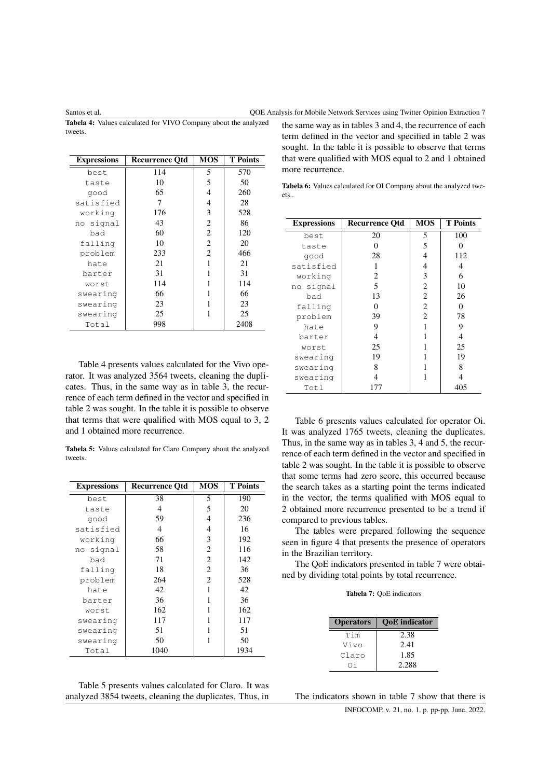Tabela 4: Values calculated for VIVO Company about the analyzed tweets.

| <b>Expressions</b> | <b>Recurrence Otd</b> | <b>MOS</b>     | <b>T</b> Points |
|--------------------|-----------------------|----------------|-----------------|
| best               | 114                   | 5              | 570             |
| taste              | 10                    | 5              | 50              |
| qood               | 65                    | 4              | 260             |
| satisfied          | 7                     | 4              | 28              |
| working            | 176                   | 3              | 528             |
| no signal          | 43                    | 2              | 86              |
| bad                | 60                    | $\overline{c}$ | 120             |
| falling            | 10                    | 2              | 20              |
| problem            | 233                   | 2              | 466             |
| hate               | 21                    | 1              | 21              |
| barter             | 31                    |                | 31              |
| worst              | 114                   |                | 114             |
| swearing           | 66                    |                | 66              |
| swearing           | 23                    |                | 23              |
| swearing           | 25                    | 1              | 25              |
| Total              | 998                   |                | 2408            |

Table 4 presents values calculated for the Vivo operator. It was analyzed 3564 tweets, cleaning the duplicates. Thus, in the same way as in table 3, the recurrence of each term defined in the vector and specified in table 2 was sought. In the table it is possible to observe that terms that were qualified with MOS equal to 3, 2 and 1 obtained more recurrence.

Tabela 5: Values calculated for Claro Company about the analyzed tweets.

| <b>Expressions</b> | <b>Recurrence Otd</b> | <b>MOS</b> | <b>T</b> Points |
|--------------------|-----------------------|------------|-----------------|
| best               | 38                    | 5          | 190             |
| taste              | 4                     | 5          | 20              |
| qood               | 59                    | 4          | 236             |
| satisfied          | 4                     | 4          | 16              |
| working            | 66                    | 3          | 192             |
| no signal          | 58                    | 2          | 116             |
| bad                | 71                    | 2          | 142             |
| falling            | 18                    | 2          | 36              |
| problem            | 264                   | 2          | 528             |
| hate               | 42                    |            | 42              |
| barter             | 36                    | 1          | 36              |
| worst              | 162                   |            | 162             |
| swearing           | 117                   |            | 117             |
| swearing           | 51                    |            | 51              |
| swearing           | 50                    | 1          | 50              |
| Total              | 1040                  |            | 1934            |

the same way as in tables 3 and 4, the recurrence of each term defined in the vector and specified in table 2 was sought. In the table it is possible to observe that terms that were qualified with MOS equal to 2 and 1 obtained more recurrence.

Tabela 6: Values calculated for OI Company about the analyzed tweets..

| <b>Expressions</b> | <b>Recurrence Otd</b> | <b>MOS</b> | <b>T</b> Points |
|--------------------|-----------------------|------------|-----------------|
| best               | 20                    | 5          | 100             |
| taste              | 0                     | 5          | 0               |
| qood               | 28                    | 4          | 112             |
| satisfied          |                       | 4          | 4               |
| working            | 2                     | 3          | 6               |
| signal<br>no       | 5                     | 2          | 10              |
| bad                | 13                    | 2          | 26              |
| falling            | 0                     | 2          | 0               |
| problem            | 39                    | 2          | 78              |
| hate               | 9                     |            | 9               |
| barter             | 4                     |            | 4               |
| worst              | 25                    |            | 25              |
| swearing           | 19                    |            | 19              |
| swearing           | 8                     |            | 8               |
| swearing           | 4                     |            | 4               |
| Totl               | 177                   |            | 405             |

Table 6 presents values calculated for operator Oi. It was analyzed 1765 tweets, cleaning the duplicates. Thus, in the same way as in tables 3, 4 and 5, the recurrence of each term defined in the vector and specified in table 2 was sought. In the table it is possible to observe that some terms had zero score, this occurred because the search takes as a starting point the terms indicated in the vector, the terms qualified with MOS equal to 2 obtained more recurrence presented to be a trend if compared to previous tables.

The tables were prepared following the sequence seen in figure 4 that presents the presence of operators in the Brazilian territory.

The QoE indicators presented in table 7 were obtained by dividing total points by total recurrence.

## Tabela 7: QoE indicators

| <b>Operators</b> | <b>OoE</b> indicator |
|------------------|----------------------|
| Tim              | 2.38                 |
| Vivo             | 2.41                 |
| Claro            | 1.85                 |
| Ωi               | 2.288                |

Table 5 presents values calculated for Claro. It was analyzed 3854 tweets, cleaning the duplicates. Thus, in

The indicators shown in table 7 show that there is INFOCOMP, v. 21, no. 1, p. pp-pp, June, 2022.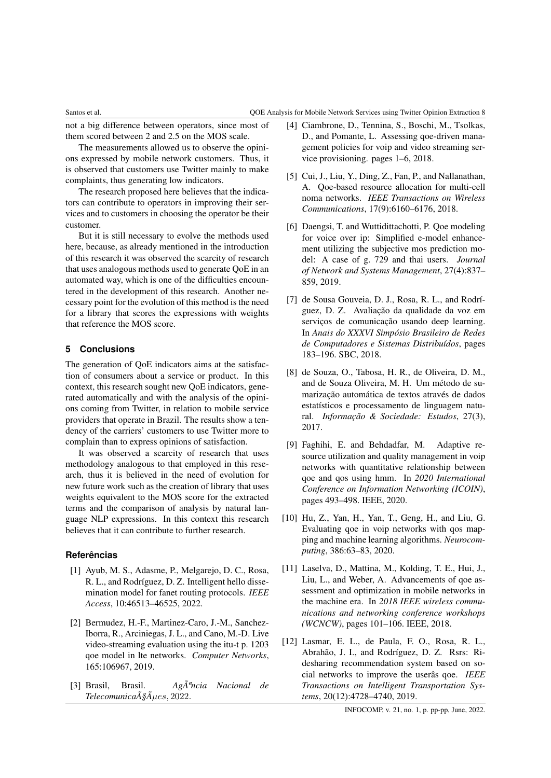## Santos et al. QOE Analysis for Mobile Network Services using Twitter Opinion Extraction 8

not a big difference between operators, since most of them scored between 2 and 2.5 on the MOS scale.

The measurements allowed us to observe the opinions expressed by mobile network customers. Thus, it is observed that customers use Twitter mainly to make complaints, thus generating low indicators.

The research proposed here believes that the indicators can contribute to operators in improving their services and to customers in choosing the operator be their customer.

But it is still necessary to evolve the methods used here, because, as already mentioned in the introduction of this research it was observed the scarcity of research that uses analogous methods used to generate QoE in an automated way, which is one of the difficulties encountered in the development of this research. Another necessary point for the evolution of this method is the need for a library that scores the expressions with weights that reference the MOS score.

## **5 Conclusions**

The generation of QoE indicators aims at the satisfaction of consumers about a service or product. In this context, this research sought new QoE indicators, generated automatically and with the analysis of the opinions coming from Twitter, in relation to mobile service providers that operate in Brazil. The results show a tendency of the carriers' customers to use Twitter more to complain than to express opinions of satisfaction.

It was observed a scarcity of research that uses methodology analogous to that employed in this research, thus it is believed in the need of evolution for new future work such as the creation of library that uses weights equivalent to the MOS score for the extracted terms and the comparison of analysis by natural language NLP expressions. In this context this research believes that it can contribute to further research.

## <span id="page-7-5"></span>**Referências**

- [1] Ayub, M. S., Adasme, P., Melgarejo, D. C., Rosa, R. L., and Rodríguez, D. Z. Intelligent hello dissemination model for fanet routing protocols. *IEEE Access*, 10:46513–46525, 2022.
- <span id="page-7-0"></span>[2] Bermudez, H.-F., Martinez-Caro, J.-M., Sanchez-Iborra, R., Arciniegas, J. L., and Cano, M.-D. Live video-streaming evaluation using the itu-t p. 1203 qoe model in lte networks. *Computer Networks*, 165:106967, 2019.
- <span id="page-7-7"></span>[3] Brasil, Brasil. *Agência Nacional de TelecomunicaA§Aµes*, 2022.
- <span id="page-7-1"></span>[4] Ciambrone, D., Tennina, S., Boschi, M., Tsolkas, D., and Pomante, L. Assessing qoe-driven management policies for voip and video streaming service provisioning. pages 1–6, 2018.
- <span id="page-7-8"></span>[5] Cui, J., Liu, Y., Ding, Z., Fan, P., and Nallanathan, A. Qoe-based resource allocation for multi-cell noma networks. *IEEE Transactions on Wireless Communications*, 17(9):6160–6176, 2018.
- <span id="page-7-2"></span>[6] Daengsi, T. and Wuttidittachotti, P. Qoe modeling for voice over ip: Simplified e-model enhancement utilizing the subjective mos prediction model: A case of g. 729 and thai users. *Journal of Network and Systems Management*, 27(4):837– 859, 2019.
- <span id="page-7-4"></span>[7] de Sousa Gouveia, D. J., Rosa, R. L., and Rodríguez, D. Z. Avaliação da qualidade da voz em serviços de comunicação usando deep learning. In *Anais do XXXVI Simpósio Brasileiro de Redes de Computadores e Sistemas Distribuídos*, pages 183–196. SBC, 2018.
- <span id="page-7-11"></span>[8] de Souza, O., Tabosa, H. R., de Oliveira, D. M., and de Souza Oliveira, M. H. Um método de sumarização automática de textos através de dados estatísticos e processamento de linguagem natural. *Informação & Sociedade: Estudos*, 27(3), 2017.
- <span id="page-7-3"></span>[9] Faghihi, E. and Behdadfar, M. Adaptive resource utilization and quality management in voip networks with quantitative relationship between qoe and qos using hmm. In *2020 International Conference on Information Networking (ICOIN)*, pages 493–498. IEEE, 2020.
- <span id="page-7-10"></span>[10] Hu, Z., Yan, H., Yan, T., Geng, H., and Liu, G. Evaluating qoe in voip networks with qos mapping and machine learning algorithms. *Neurocomputing*, 386:63–83, 2020.
- <span id="page-7-9"></span>[11] Laselva, D., Mattina, M., Kolding, T. E., Hui, J., Liu, L., and Weber, A. Advancements of qoe assessment and optimization in mobile networks in the machine era. In *2018 IEEE wireless communications and networking conference workshops (WCNCW)*, pages 101–106. IEEE, 2018.
- <span id="page-7-6"></span>[12] Lasmar, E. L., de Paula, F. O., Rosa, R. L., Abrahão, J. I., and Rodríguez, D. Z. Rsrs: Ridesharing recommendation system based on social networks to improve the userâs qoe. *IEEE Transactions on Intelligent Transportation Systems*, 20(12):4728–4740, 2019.